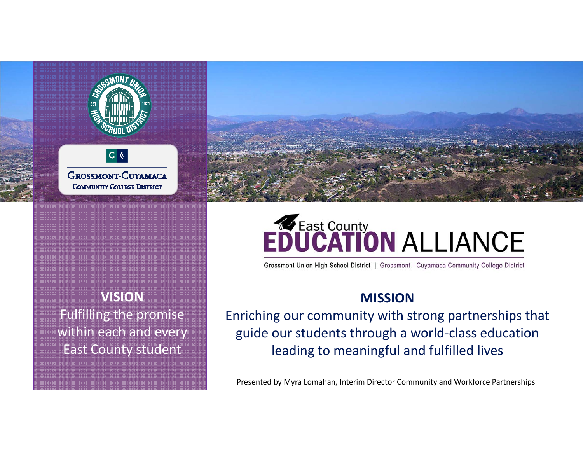



**VISION**Fulfilling the promise within each and every East County student

# **EDUCATION ALLIANCE**

Grossmont Union High School District | Grossmont - Cuyamaca Community College District

## **MISSION**

Enriching our community with strong partnerships that guide our students through <sup>a</sup> world‐class education leading to meaningful and fulfilled lives

Presented by Myra Lomahan, Interim Director Community and Workforce Partnerships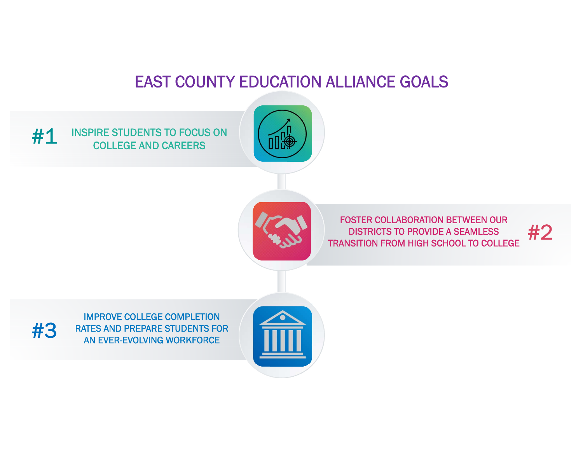## EAST COUNTY EDUCATION ALLIANCE GOALS

INSPIRE STUDENTS TO FOCUS ON COLLEGE AND CAREERS #1





FOSTER COLLABORATION BETWEEN OUR DISTRICTS TO PROVIDE A SEAMLESS TRANSITION FROM HIGH SCHOOL TO COLLEGE

#2

IMPROVE COLLEGE COMPLETION #3 RATES AND PREPARE STUDENTS FOR AN EVER-EVOLVING WORKFORCE

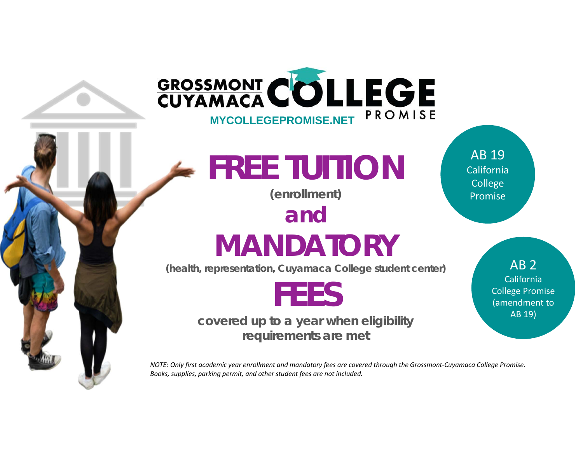

*Books, supplies, parking permit, and other student fees are not included.*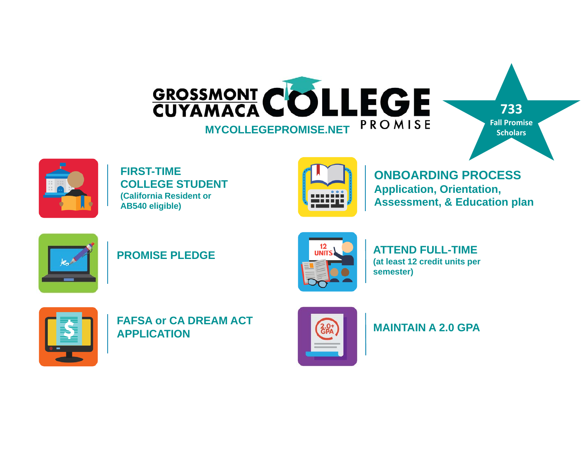

**733Fall PromiseScholars**



**FIRST-TIME COLLEGE STUDENT(California Resident or AB540 eligible)**



**ONBOARDING PROCESSApplication, Orientation, Assessment, & Education plan**



**PROMISE PLEDGE**



**ATTEND FULL-TIME(at least 12 credit units per semester)**



**FAFSA or CA DREAM ACT APPLICATION**



**MAINTAIN A 2.0 GPA**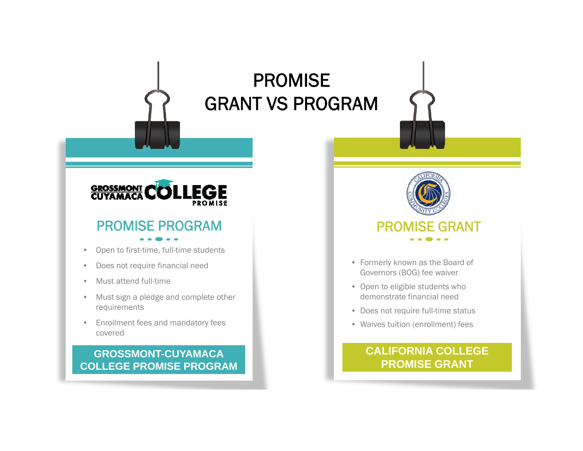## PROMISE GRANT VS PROGRAM



## PROMISE PROGRAM

- $\bullet$ Open to first-time, full-time students
- •Does not require financial need
- •Must attend full-time
- $\bullet$  Must sign a pledge and complete other requirements
- • Enrollment fees and mandatory fees covered

#### **GROSSMONT-CUYAMACACOLLEGE PROMISE PROGRAM**



- Formerly known as the Board of Governors (BOG) fee waiver
- Open to eligible students who demonstrate financial need
- Does not require full-time status
- Waives tuition (enrollment) fees

#### **CALIFORNIA COLLEGE PROMISE GRANT**